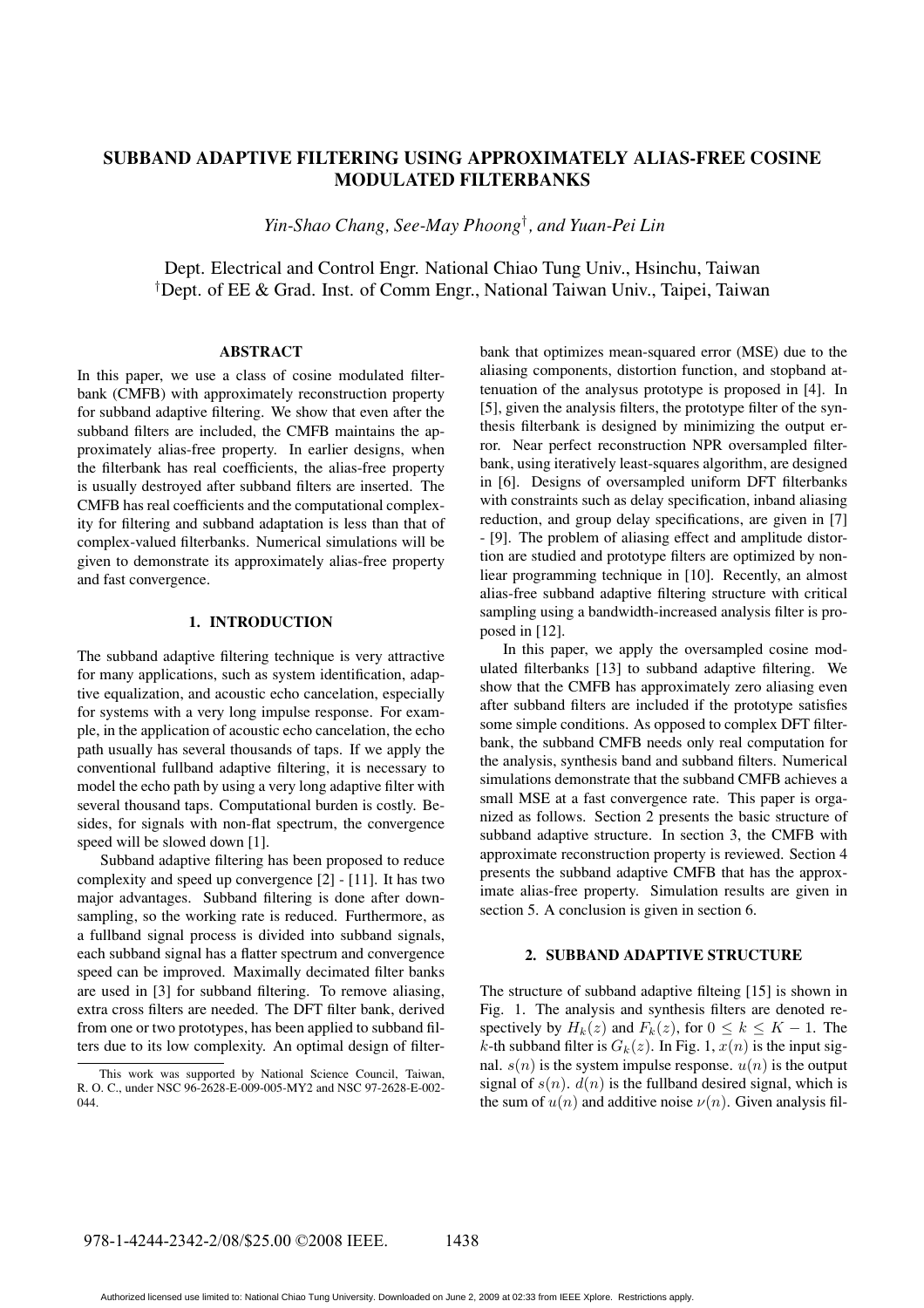# **SUBBAND ADAPTIVE FILTERING USING APPROXIMATELY ALIAS-FREE COSINE MODULATED FILTERBANKS**

*Yin-Shao Chang, See-May Phoong*† *, and Yuan-Pei Lin*

Dept. Electrical and Control Engr. National Chiao Tung Univ., Hsinchu, Taiwan †Dept. of EE & Grad. Inst. of Comm Engr., National Taiwan Univ., Taipei, Taiwan

### **ABSTRACT**

In this paper, we use a class of cosine modulated filterbank (CMFB) with approximately reconstruction property for subband adaptive filtering. We show that even after the subband filters are included, the CMFB maintains the approximately alias-free property. In earlier designs, when the filterbank has real coefficients, the alias-free property is usually destroyed after subband filters are inserted. The CMFB has real coefficients and the computational complexity for filtering and subband adaptation is less than that of complex-valued filterbanks. Numerical simulations will be given to demonstrate its approximately alias-free property and fast convergence.

## **1. INTRODUCTION**

The subband adaptive filtering technique is very attractive for many applications, such as system identification, adaptive equalization, and acoustic echo cancelation, especially for systems with a very long impulse response. For example, in the application of acoustic echo cancelation, the echo path usually has several thousands of taps. If we apply the conventional fullband adaptive filtering, it is necessary to model the echo path by using a very long adaptive filter with several thousand taps. Computational burden is costly. Besides, for signals with non-flat spectrum, the convergence speed will be slowed down [1].

Subband adaptive filtering has been proposed to reduce complexity and speed up convergence [2] - [11]. It has two major advantages. Subband filtering is done after downsampling, so the working rate is reduced. Furthermore, as a fullband signal process is divided into subband signals, each subband signal has a flatter spectrum and convergence speed can be improved. Maximally decimated filter banks are used in [3] for subband filtering. To remove aliasing, extra cross filters are needed. The DFT filter bank, derived from one or two prototypes, has been applied to subband filters due to its low complexity. An optimal design of filter-

bank that optimizes mean-squared error (MSE) due to the aliasing components, distortion function, and stopband attenuation of the analysus prototype is proposed in [4]. In [5], given the analysis filters, the prototype filter of the synthesis filterbank is designed by minimizing the output error. Near perfect reconstruction NPR oversampled filterbank, using iteratively least-squares algorithm, are designed in [6]. Designs of oversampled uniform DFT filterbanks with constraints such as delay specification, inband aliasing reduction, and group delay specifications, are given in [7] - [9]. The problem of aliasing effect and amplitude distortion are studied and prototype filters are optimized by nonliear programming technique in [10]. Recently, an almost alias-free subband adaptive filtering structure with critical sampling using a bandwidth-increased analysis filter is proposed in [12].

In this paper, we apply the oversampled cosine modulated filterbanks [13] to subband adaptive filtering. We show that the CMFB has approximately zero aliasing even after subband filters are included if the prototype satisfies some simple conditions. As opposed to complex DFT filterbank, the subband CMFB needs only real computation for the analysis, synthesis band and subband filters. Numerical simulations demonstrate that the subband CMFB achieves a small MSE at a fast convergence rate. This paper is organized as follows. Section 2 presents the basic structure of subband adaptive structure. In section 3, the CMFB with approximate reconstruction property is reviewed. Section 4 presents the subband adaptive CMFB that has the approximate alias-free property. Simulation results are given in section 5. A conclusion is given in section 6.

#### **2. SUBBAND ADAPTIVE STRUCTURE**

The structure of subband adaptive filteing [15] is shown in Fig. 1. The analysis and synthesis filters are denoted respectively by  $H_k(z)$  and  $F_k(z)$ , for  $0 \le k \le K - 1$ . The k-th subband filter is  $G_k(z)$ . In Fig. 1,  $x(n)$  is the input signal.  $s(n)$  is the system impulse response.  $u(n)$  is the output signal of  $s(n)$ .  $d(n)$  is the fullband desired signal, which is the sum of  $u(n)$  and additive noise  $v(n)$ . Given analysis fil-

This work was supported by National Science Council, Taiwan, R. O. C., under NSC 96-2628-E-009-005-MY2 and NSC 97-2628-E-002- 044.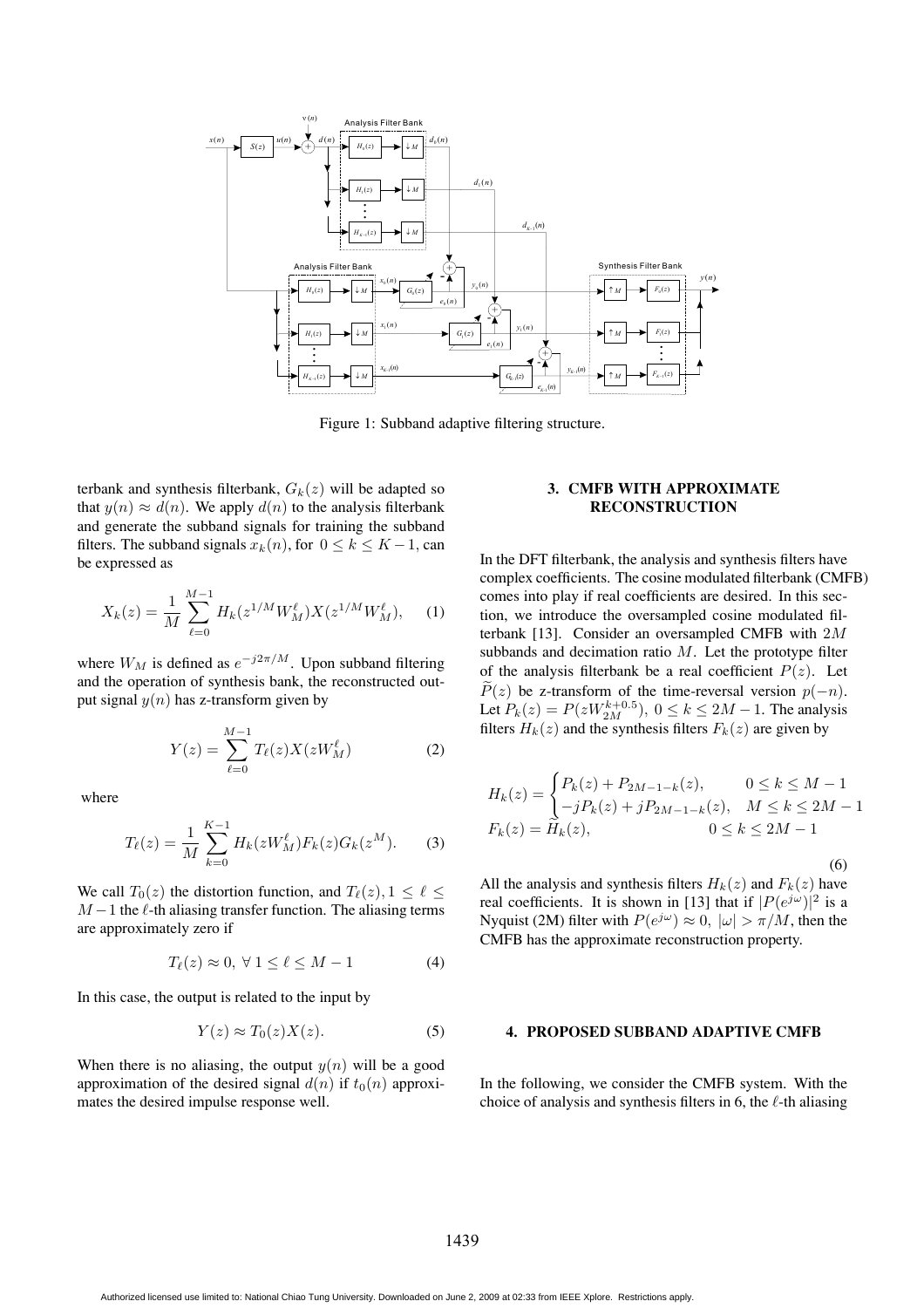

Figure 1: Subband adaptive filtering structure.

terbank and synthesis filterbank,  $G_k(z)$  will be adapted so that  $y(n) \approx d(n)$ . We apply  $d(n)$  to the analysis filterbank and generate the subband signals for training the subband filters. The subband signals  $x_k(n)$ , for  $0 \le k \le K-1$ , can be expressed as

$$
X_k(z) = \frac{1}{M} \sum_{\ell=0}^{M-1} H_k(z^{1/M} W_M^{\ell}) X(z^{1/M} W_M^{\ell}), \quad (1)
$$

where  $W_M$  is defined as  $e^{-j2\pi/M}$ . Upon subband filtering and the operation of synthesis bank, the reconstructed output signal  $y(n)$  has z-transform given by

$$
Y(z) = \sum_{\ell=0}^{M-1} T_{\ell}(z) X(zW_M^{\ell})
$$
 (2)

where

$$
T_{\ell}(z) = \frac{1}{M} \sum_{k=0}^{K-1} H_k(zW_M^{\ell}) F_k(z) G_k(z^M).
$$
 (3)

We call  $T_0(z)$  the distortion function, and  $T_\ell(z), 1 \leq \ell \leq$  $M - 1$  the  $\ell$ -th aliasing transfer function. The aliasing terms are approximately zero if

$$
T_{\ell}(z) \approx 0, \,\forall \, 1 \le \ell \le M - 1 \tag{4}
$$

In this case, the output is related to the input by

$$
Y(z) \approx T_0(z)X(z). \tag{5}
$$

When there is no aliasing, the output  $y(n)$  will be a good approximation of the desired signal  $d(n)$  if  $t_0(n)$  approximates the desired impulse response well.

# **3. CMFB WITH APPROXIMATE RECONSTRUCTION**

In the DFT filterbank, the analysis and synthesis filters have complex coefficients. The cosine modulated filterbank (CMFB) comes into play if real coefficients are desired. In this section, we introduce the oversampled cosine modulated filterbank [13]. Consider an oversampled CMFB with 2M subbands and decimation ratio  $M$ . Let the prototype filter of the analysis filterbank be a real coefficient  $P(z)$ . Let  $\widetilde{P}(z)$  be z-transform of the time-reversal version  $p(-n)$ . Let  $P_k(z) = P(zW_{2M}^{k+0.5})$ ,  $0 \le k \le 2M - 1$ . The analysis filters  $H_k(z)$  and the synthesis filters  $F_k(z)$  are given by

$$
H_k(z) = \begin{cases} P_k(z) + P_{2M-1-k}(z), & 0 \le k \le M-1 \\ -jP_k(z) + jP_{2M-1-k}(z), & M \le k \le 2M-1 \\ F_k(z) = \widetilde{H}_k(z), & 0 \le k \le 2M-1 \end{cases}
$$

(6) All the analysis and synthesis filters  $H_k(z)$  and  $F_k(z)$  have real coefficients. It is shown in [13] that if  $|P(e^{j\omega})|^2$  is a Nyquist (2M) filter with  $P(e^{j\omega}) \approx 0$ ,  $|\omega| > \pi/M$ , then the CMFB has the approximate reconstruction property.

# **4. PROPOSED SUBBAND ADAPTIVE CMFB**

In the following, we consider the CMFB system. With the choice of analysis and synthesis filters in 6, the  $\ell$ -th aliasing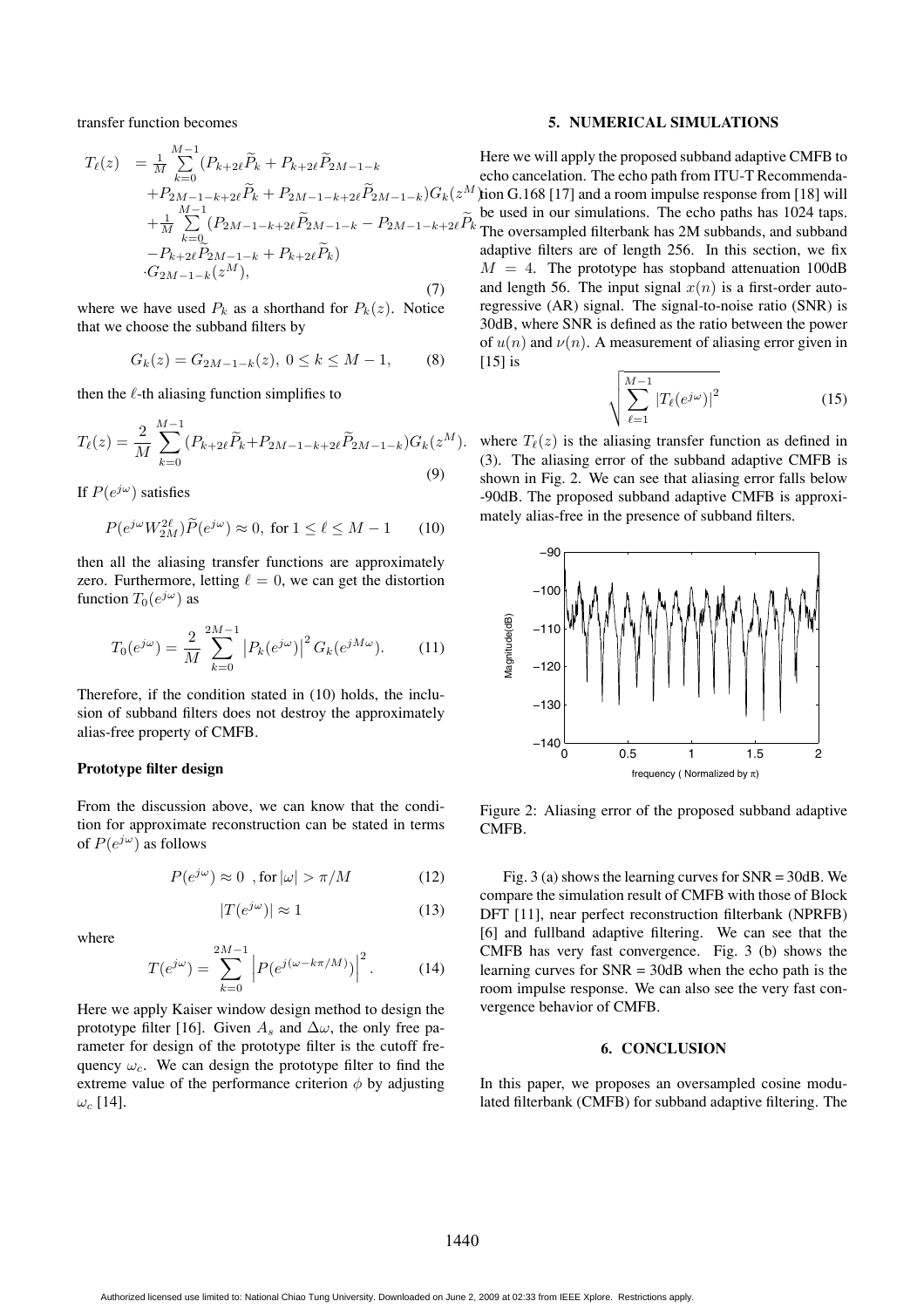transfer function becomes

$$
T_{\ell}(z) = \frac{1}{M} \sum_{k=0}^{M-1} (P_{k+2\ell} \widetilde{P}_{k} + P_{k+2\ell} \widetilde{P}_{2M-1-k})
$$
\n
$$
+ P_{2M-1-k+2\ell} \widetilde{P}_{k} + P_{2M-1-k+2\ell} \widetilde{P}_{2M-1-k} (Z^{M})
$$
\n
$$
+ \frac{1}{M} \sum_{k=0}^{M-1} (P_{2M-1-k+2\ell} \widetilde{P}_{2M-1-k} - P_{2M-1-k+2\ell} \widetilde{P}_{k})
$$
\n
$$
- P_{k+2\ell} \widetilde{P}_{2M-1-k} + P_{k+2\ell} \widetilde{P}_{k})
$$
\n
$$
G_{2M-1-k}(z^{M}),
$$
\n(7)

where we have used  $P_k$  as a shorthand for  $P_k(z)$ . Notice that we choose the subband filters by

$$
G_k(z) = G_{2M-1-k}(z), \ 0 \le k \le M-1,\tag{8}
$$

then the  $\ell$ -th aliasing function simplifies to

$$
T_{\ell}(z) = \frac{2}{M} \sum_{k=0}^{M-1} (P_{k+2\ell} \widetilde{P}_k + P_{2M-1-k+2\ell} \widetilde{P}_{2M-1-k}) G_k(z^M)
$$
\n(9)

If  $P(e^{j\omega})$  satisfies

$$
P(e^{j\omega}W_{2M}^{2\ell})\widetilde{P}(e^{j\omega}) \approx 0, \text{ for } 1 \le \ell \le M - 1 \qquad (10)
$$

then all the aliasing transfer functions are approximately zero. Furthermore, letting  $\ell = 0$ , we can get the distortion function  $T_0(e^{j\omega})$  as

$$
T_0(e^{j\omega}) = \frac{2}{M} \sum_{k=0}^{2M-1} \left| P_k(e^{j\omega}) \right|^2 G_k(e^{jM\omega}). \tag{11}
$$

Therefore, if the condition stated in (10) holds, the inclusion of subband filters does not destroy the approximately alias-free property of CMFB.

### **Prototype filter design**

From the discussion above, we can know that the condition for approximate reconstruction can be stated in terms of  $P(e^{j\omega})$  as follows

$$
P(e^{j\omega}) \approx 0 \text{ , for } |\omega| > \pi/M \tag{12}
$$

$$
|T(e^{j\omega})| \approx 1\tag{13}
$$

where

$$
T(e^{j\omega}) = \sum_{k=0}^{2M-1} \left| P(e^{j(\omega - k\pi/M)}) \right|^2.
$$
 (14)

Here we apply Kaiser window design method to design the prototype filter [16]. Given  $A_s$  and  $\Delta\omega$ , the only free parameter for design of the prototype filter is the cutoff frequency  $\omega_c$ . We can design the prototype filter to find the extreme value of the performance criterion  $\phi$  by adjusting  $\omega_c$  [14].

### **5. NUMERICAL SIMULATIONS**

Here we will apply the proposed subband adaptive CMFB to echo cancelation. The echo path from ITU-T Recommenda- $^{M}$ ) tion G.168 [17] and a room impulse response from [18] will be used in our simulations. The echo paths has 1024 taps.  $\sum_{k=1}^{\infty}$  to use  $\sum_{k=1}^{\infty}$  m our summation has 2M subbands, and subband adaptive filters are of length 256. In this section, we fix  $M = 4$ . The prototype has stopband attenuation 100dB and length 56. The input signal  $x(n)$  is a first-order autoregressive (AR) signal. The signal-to-noise ratio (SNR) is 30dB, where SNR is defined as the ratio between the power of  $u(n)$  and  $v(n)$ . A measurement of aliasing error given in [15] is

$$
\sqrt{\sum_{\ell=1}^{M-1} |T_{\ell}(e^{j\omega})|^2}
$$
 (15)

 $^M$ ). where  $T_\ell(z)$  is the aliasing transfer function as defined in (3). The aliasing error of the subband adaptive CMFB is shown in Fig. 2. We can see that aliasing error falls below -90dB. The proposed subband adaptive CMFB is approximately alias-free in the presence of subband filters.



Figure 2: Aliasing error of the proposed subband adaptive CMFB.

Fig. 3 (a) shows the learning curves for SNR = 30dB. We compare the simulation result of CMFB with those of Block DFT [11], near perfect reconstruction filterbank (NPRFB) [6] and fullband adaptive filtering. We can see that the CMFB has very fast convergence. Fig. 3 (b) shows the learning curves for  $SNR = 30dB$  when the echo path is the room impulse response. We can also see the very fast convergence behavior of CMFB.

### **6. CONCLUSION**

In this paper, we proposes an oversampled cosine modulated filterbank (CMFB) for subband adaptive filtering. The